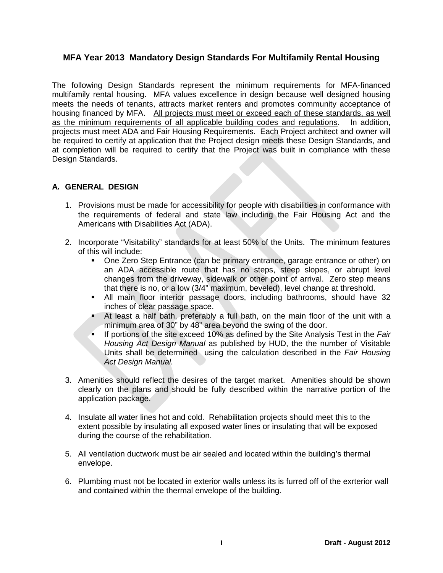## **MFA Year 2013 Mandatory Design Standards For Multifamily Rental Housing**

The following Design Standards represent the minimum requirements for MFA-financed multifamily rental housing. MFA values excellence in design because well designed housing meets the needs of tenants, attracts market renters and promotes community acceptance of housing financed by MFA. All projects must meet or exceed each of these standards, as well as the minimum requirements of all applicable building codes and regulations. In addition, projects must meet ADA and Fair Housing Requirements. Each Project architect and owner will be required to certify at application that the Project design meets these Design Standards, and at completion will be required to certify that the Project was built in compliance with these Design Standards.

#### **A. GENERAL DESIGN**

- 1. Provisions must be made for accessibility for people with disabilities in conformance with the requirements of federal and state law including the Fair Housing Act and the Americans with Disabilities Act (ADA).
- 2. Incorporate "Visitability" standards for at least 50% of the Units. The minimum features of this will include:
	- One Zero Step Entrance (can be primary entrance, garage entrance or other) on an ADA accessible route that has no steps, steep slopes, or abrupt level changes from the driveway, sidewalk or other point of arrival. Zero step means that there is no, or a low (3/4" maximum, beveled), level change at threshold.
	- All main floor interior passage doors, including bathrooms, should have 32 inches of clear passage space.
	- At least a half bath, preferably a full bath, on the main floor of the unit with a minimum area of 30" by 48" area beyond the swing of the door.
	- If portions of the site exceed 10% as defined by the Site Analysis Test in the *Fair Housing Act Design Manual* as published by HUD, the the number of Visitable Units shall be determined using the calculation described in the *Fair Housing Act Design Manual.*
- 3. Amenities should reflect the desires of the target market. Amenities should be shown clearly on the plans and should be fully described within the narrative portion of the application package.
- 4. Insulate all water lines hot and cold. Rehabilitation projects should meet this to the extent possible by insulating all exposed water lines or insulating that will be exposed during the course of the rehabilitation.
- 5. All ventilation ductwork must be air sealed and located within the building's thermal envelope.
- 6. Plumbing must not be located in exterior walls unless its is furred off of the exrterior wall and contained within the thermal envelope of the building.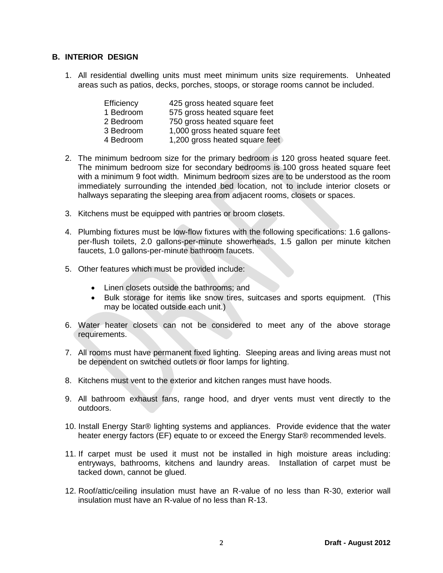## **B. INTERIOR DESIGN**

1. All residential dwelling units must meet minimum units size requirements. Unheated areas such as patios, decks, porches, stoops, or storage rooms cannot be included.

| Efficiency | 425 gross heated square feet   |
|------------|--------------------------------|
| 1 Bedroom  | 575 gross heated square feet   |
| 2 Bedroom  | 750 gross heated square feet   |
| 3 Bedroom  | 1,000 gross heated square feet |
| 4 Bedroom  | 1,200 gross heated square feet |

- 2. The minimum bedroom size for the primary bedroom is 120 gross heated square feet. The minimum bedroom size for secondary bedrooms is 100 gross heated square feet with a minimum 9 foot width. Minimum bedroom sizes are to be understood as the room immediately surrounding the intended bed location, not to include interior closets or hallways separating the sleeping area from adjacent rooms, closets or spaces.
- 3. Kitchens must be equipped with pantries or broom closets.
- 4. Plumbing fixtures must be low-flow fixtures with the following specifications: 1.6 gallonsper-flush toilets, 2.0 gallons-per-minute showerheads, 1.5 gallon per minute kitchen faucets, 1.0 gallons-per-minute bathroom faucets.
- 5. Other features which must be provided include:
	- Linen closets outside the bathrooms; and
	- Bulk storage for items like snow tires, suitcases and sports equipment. (This may be located outside each unit.)
- 6. Water heater closets can not be considered to meet any of the above storage requirements.
- 7. All rooms must have permanent fixed lighting. Sleeping areas and living areas must not be dependent on switched outlets or floor lamps for lighting.
- 8. Kitchens must vent to the exterior and kitchen ranges must have hoods.
- 9. All bathroom exhaust fans, range hood, and dryer vents must vent directly to the outdoors.
- 10. Install Energy Star® lighting systems and appliances. Provide evidence that the water heater energy factors (EF) equate to or exceed the Energy Star® recommended levels.
- 11. If carpet must be used it must not be installed in high moisture areas including: entryways, bathrooms, kitchens and laundry areas. Installation of carpet must be tacked down, cannot be glued.
- 12. Roof/attic/ceiling insulation must have an R-value of no less than R-30, exterior wall insulation must have an R-value of no less than R-13.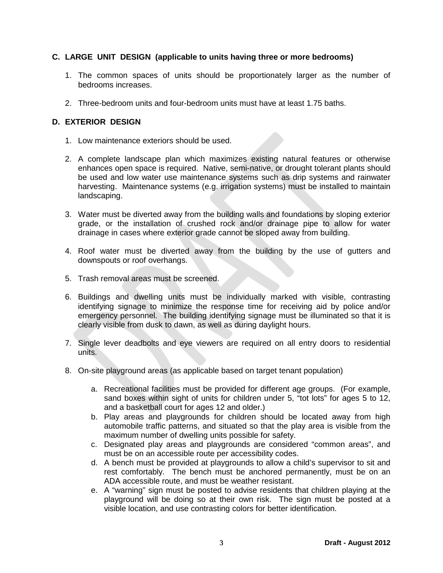## **C. LARGE UNIT DESIGN (applicable to units having three or more bedrooms)**

- 1. The common spaces of units should be proportionately larger as the number of bedrooms increases.
- 2. Three-bedroom units and four-bedroom units must have at least 1.75 baths.

#### **D. EXTERIOR DESIGN**

- 1. Low maintenance exteriors should be used.
- 2. A complete landscape plan which maximizes existing natural features or otherwise enhances open space is required. Native, semi-native, or drought tolerant plants should be used and low water use maintenance systems such as drip systems and rainwater harvesting. Maintenance systems (e.g. irrigation systems) must be installed to maintain landscaping.
- 3. Water must be diverted away from the building walls and foundations by sloping exterior grade, or the installation of crushed rock and/or drainage pipe to allow for water drainage in cases where exterior grade cannot be sloped away from building.
- 4. Roof water must be diverted away from the building by the use of gutters and downspouts or roof overhangs.
- 5. Trash removal areas must be screened.
- 6. Buildings and dwelling units must be individually marked with visible, contrasting identifying signage to minimize the response time for receiving aid by police and/or emergency personnel. The building identifying signage must be illuminated so that it is clearly visible from dusk to dawn, as well as during daylight hours.
- 7. Single lever deadbolts and eye viewers are required on all entry doors to residential units.
- 8. On-site playground areas (as applicable based on target tenant population)
	- a. Recreational facilities must be provided for different age groups. (For example, sand boxes within sight of units for children under 5, "tot lots" for ages 5 to 12, and a basketball court for ages 12 and older.)
	- b. Play areas and playgrounds for children should be located away from high automobile traffic patterns, and situated so that the play area is visible from the maximum number of dwelling units possible for safety.
	- c. Designated play areas and playgrounds are considered "common areas", and must be on an accessible route per accessibility codes.
	- d. A bench must be provided at playgrounds to allow a child's supervisor to sit and rest comfortably. The bench must be anchored permanently, must be on an ADA accessible route, and must be weather resistant.
	- e. A "warning" sign must be posted to advise residents that children playing at the playground will be doing so at their own risk. The sign must be posted at a visible location, and use contrasting colors for better identification.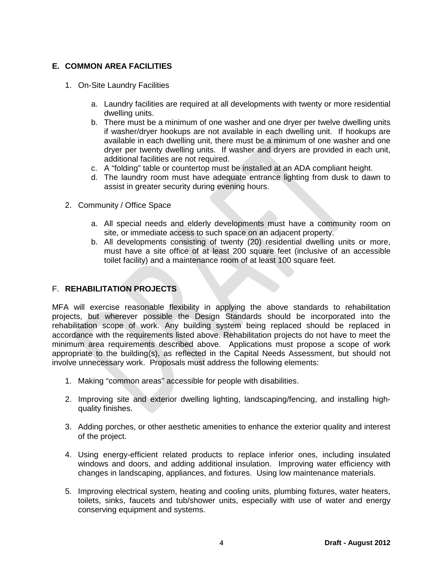# **E. COMMON AREA FACILITIES**

- 1. On-Site Laundry Facilities
	- a. Laundry facilities are required at all developments with twenty or more residential dwelling units.
	- b. There must be a minimum of one washer and one dryer per twelve dwelling units if washer/dryer hookups are not available in each dwelling unit. If hookups are available in each dwelling unit, there must be a minimum of one washer and one dryer per twenty dwelling units. If washer and dryers are provided in each unit, additional facilities are not required.
	- c. A "folding" table or countertop must be installed at an ADA compliant height.
	- d. The laundry room must have adequate entrance lighting from dusk to dawn to assist in greater security during evening hours.
- 2. Community / Office Space
	- a. All special needs and elderly developments must have a community room on site, or immediate access to such space on an adjacent property.
	- b. All developments consisting of twenty (20) residential dwelling units or more, must have a site office of at least 200 square feet (inclusive of an accessible toilet facility) and a maintenance room of at least 100 square feet.

## F. **REHABILITATION PROJECTS**

MFA will exercise reasonable flexibility in applying the above standards to rehabilitation projects, but wherever possible the Design Standards should be incorporated into the rehabilitation scope of work. Any building system being replaced should be replaced in accordance with the requirements listed above. Rehabilitation projects do not have to meet the minimum area requirements described above. Applications must propose a scope of work appropriate to the building(s), as reflected in the Capital Needs Assessment, but should not involve unnecessary work. Proposals must address the following elements:

- 1. Making "common areas" accessible for people with disabilities.
- 2. Improving site and exterior dwelling lighting, landscaping/fencing, and installing highquality finishes.
- 3. Adding porches, or other aesthetic amenities to enhance the exterior quality and interest of the project.
- 4. Using energy-efficient related products to replace inferior ones, including insulated windows and doors, and adding additional insulation. Improving water efficiency with changes in landscaping, appliances, and fixtures. Using low maintenance materials.
- 5. Improving electrical system, heating and cooling units, plumbing fixtures, water heaters, toilets, sinks, faucets and tub/shower units, especially with use of water and energy conserving equipment and systems.